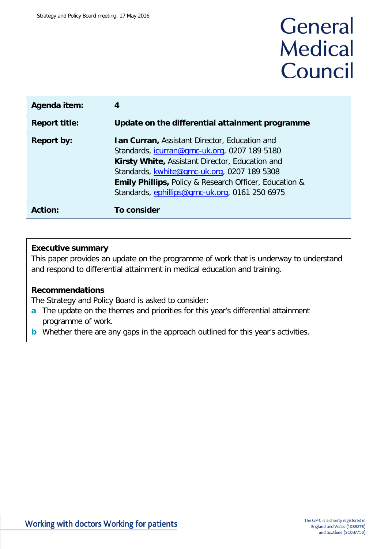# General **Medical** Council

| Agenda item:         | 4                                                                                                                                                                                                                                                                                                                          |
|----------------------|----------------------------------------------------------------------------------------------------------------------------------------------------------------------------------------------------------------------------------------------------------------------------------------------------------------------------|
| <b>Report title:</b> | Update on the differential attainment programme                                                                                                                                                                                                                                                                            |
| <b>Report by:</b>    | <b>Ian Curran, Assistant Director, Education and</b><br>Standards, <i>icurran@gmc-uk.org</i> , 0207 189 5180<br>Kirsty White, Assistant Director, Education and<br>Standards, kwhite@gmc-uk.org, 0207 189 5308<br>Emily Phillips, Policy & Research Officer, Education &<br>Standards, ephillips@gmc-uk.org, 0161 250 6975 |
| Action:              | To consider                                                                                                                                                                                                                                                                                                                |

#### **Executive summary**

This paper provides an update on the programme of work that is underway to understand and respond to differential attainment in medical education and training.

#### **Recommendations**

The Strategy and Policy Board is asked to consider:

- **a** The update on the themes and priorities for this year's differential attainment programme of work.
- **b** Whether there are any gaps in the approach outlined for this year's activities.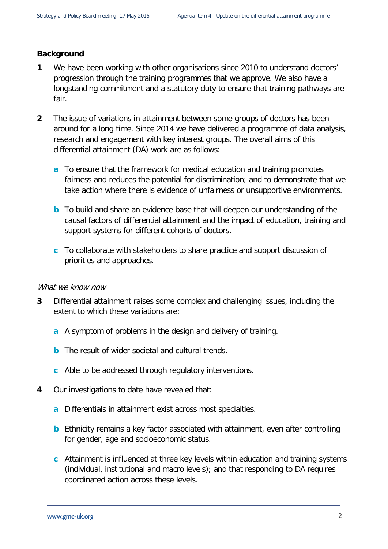#### **Background**

- **1** We have been working with other organisations since 2010 to understand doctors' progression through the training programmes that we approve. We also have a longstanding commitment and a statutory duty to ensure that training pathways are fair.
- **2** The issue of variations in attainment between some groups of doctors has been around for a long time. Since 2014 we have delivered a programme of data analysis, research and engagement with key interest groups. The overall aims of this differential attainment (DA) work are as follows:
	- **a** To ensure that the framework for medical education and training promotes fairness and reduces the potential for discrimination; and to demonstrate that we take action where there is evidence of unfairness or unsupportive environments.
	- **b** To build and share an evidence base that will deepen our understanding of the causal factors of differential attainment and the impact of education, training and support systems for different cohorts of doctors.
	- **c** To collaborate with stakeholders to share practice and support discussion of priorities and approaches.

#### What we know now

- **3** Differential attainment raises some complex and challenging issues, including the extent to which these variations are:
	- **a** A symptom of problems in the design and delivery of training.
	- **b** The result of wider societal and cultural trends.
	- **c** Able to be addressed through regulatory interventions.
- **4** Our investigations to date have revealed that:
	- **a** Differentials in attainment exist across most specialties.
	- **b** Ethnicity remains a key factor associated with attainment, even after controlling for gender, age and socioeconomic status.
	- **c** Attainment is influenced at three key levels within education and training systems (individual, institutional and macro levels); and that responding to DA requires coordinated action across these levels.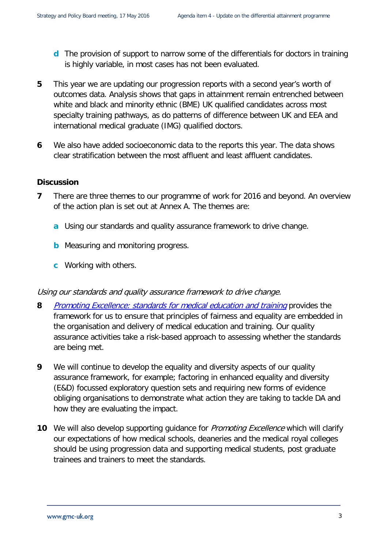- **d** The provision of support to narrow some of the differentials for doctors in training is highly variable, in most cases has not been evaluated.
- **5** This year we are updating our progression reports with a second year's worth of outcomes data. Analysis shows that gaps in attainment remain entrenched between white and black and minority ethnic (BME) UK qualified candidates across most specialty training pathways, as do patterns of difference between UK and EEA and international medical graduate (IMG) qualified doctors.
- **6** We also have added socioeconomic data to the reports this year. The data shows clear stratification between the most affluent and least affluent candidates.

#### **Discussion**

- **7** There are three themes to our programme of work for 2016 and beyond. An overview of the action plan is set out at Annex A. The themes are:
	- **a** Using our standards and quality assurance framework to drive change.
	- **b** Measuring and monitoring progress.
	- **c** Working with others.

#### Using our standards and quality assurance framework to drive change.

- **8** [Promoting Excellence: standards for medical education and training](http://www.gmc-uk.org/education/standards.asp) provides the framework for us to ensure that principles of fairness and equality are embedded in the organisation and delivery of medical education and training. Our quality assurance activities take a risk-based approach to assessing whether the standards are being met.
- **9** We will continue to develop the equality and diversity aspects of our quality assurance framework, for example; factoring in enhanced equality and diversity (E&D) focussed exploratory question sets and requiring new forms of evidence obliging organisations to demonstrate what action they are taking to tackle DA and how they are evaluating the impact.
- **10** We will also develop supporting guidance for *Promoting Excellence* which will clarify our expectations of how medical schools, deaneries and the medical royal colleges should be using progression data and supporting medical students, post graduate trainees and trainers to meet the standards.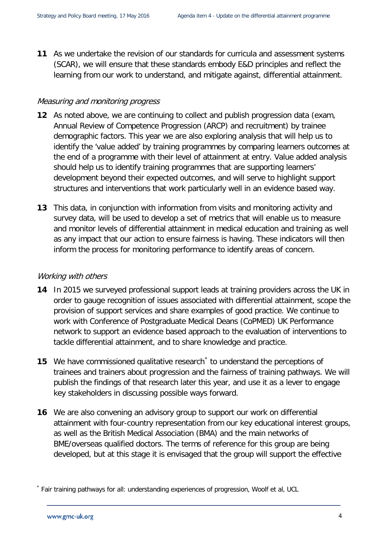**11** As we undertake the revision of our standards for curricula and assessment systems (SCAR), we will ensure that these standards embody E&D principles and reflect the learning from our work to understand, and mitigate against, differential attainment.

#### Measuring and monitoring progress

- **12** As noted above, we are continuing to collect and publish progression data (exam, Annual Review of Competence Progression (ARCP) and recruitment) by trainee demographic factors. This year we are also exploring analysis that will help us to identify the 'value added' by training programmes by comparing learners outcomes at the end of a programme with their level of attainment at entry. Value added analysis should help us to identify training programmes that are supporting learners' development beyond their expected outcomes, and will serve to highlight support structures and interventions that work particularly well in an evidence based way.
- **13** This data, in conjunction with information from visits and monitoring activity and survey data, will be used to develop a set of metrics that will enable us to measure and monitor levels of differential attainment in medical education and training as well as any impact that our action to ensure fairness is having. These indicators will then inform the process for monitoring performance to identify areas of concern.

#### Working with others

- **14** In 2015 we surveyed professional support leads at training providers across the UK in order to gauge recognition of issues associated with differential attainment, scope the provision of support services and share examples of good practice. We continue to work with Conference of Postgraduate Medical Deans (CoPMED) UK Performance network to support an evidence based approach to the evaluation of interventions to tackle differential attainment, and to share knowledge and practice.
- **15** We have commissioned qualitative research<sup>[\\*](#page-3-0)</sup> to understand the perceptions of trainees and trainers about progression and the fairness of training pathways. We will publish the findings of that research later this year, and use it as a lever to engage key stakeholders in discussing possible ways forward.
- **16** We are also convening an advisory group to support our work on differential attainment with four-country representation from our key educational interest groups, as well as the British Medical Association (BMA) and the main networks of BME/overseas qualified doctors. The terms of reference for this group are being developed, but at this stage it is envisaged that the group will support the effective

<span id="page-3-0"></span><sup>\*</sup> Fair training pathways for all: understanding experiences of progression, Woolf et al, UCL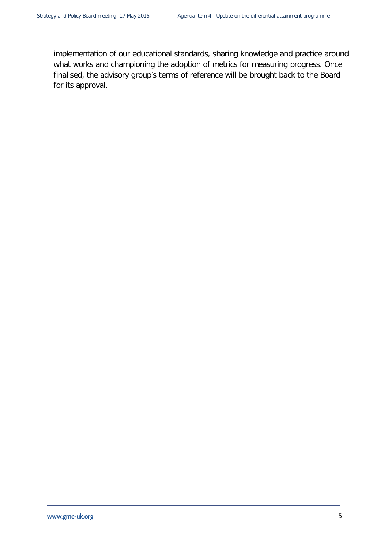implementation of our educational standards, sharing knowledge and practice around what works and championing the adoption of metrics for measuring progress. Once finalised, the advisory group's terms of reference will be brought back to the Board for its approval.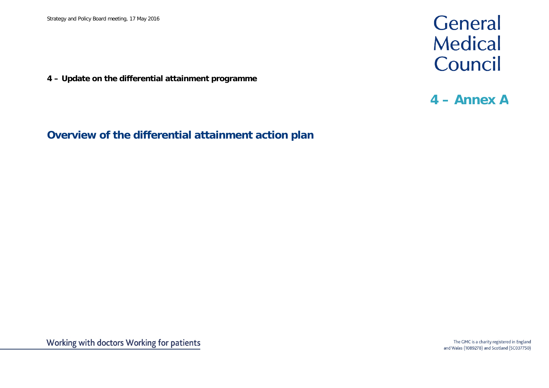**4 – Update on the differential attainment programme**

## General Medical Council

### **4 – Annex A**

**Overview of the differential attainment action plan**

The GMC is a charity registered in England and Wales (1089278) and Scotland (SC037750)

Working with doctors Working for patients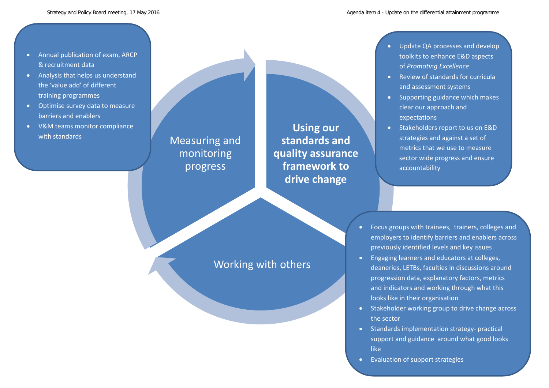- Annual publication of exam, ARCP & recruitment data
- Analysis that helps us understand the 'value add' of different training programmes
- Optimise survey data to measure barriers and enablers
- V&M teams monitor compliance with standards

Measuring and monitoring progress

**Using our standards and quality assurance framework to drive change**

- Update QA processes and develop toolkits to enhance E&D aspects of *Promoting Excellence*
- Review of standards for curricula and assessment systems
- Supporting guidance which makes clear our approach and expectations
- Stakeholders report to us on E&D strategies and against a set of metrics that we use to measure sector wide progress and ensure accountability

Working with others

- Focus groups with trainees, trainers, colleges and employers to identify barriers and enablers across previously identified levels and key issues
- Engaging learners and educators at colleges, deaneries, LETBs, faculties in discussions around progression data, explanatory factors, metrics and indicators and working through what this looks like in their organisation
- Stakeholder working group to drive change across the sector

A2

- Standards implementation strategy- practical support and guidance around what good looks like
- Evaluation of support strategies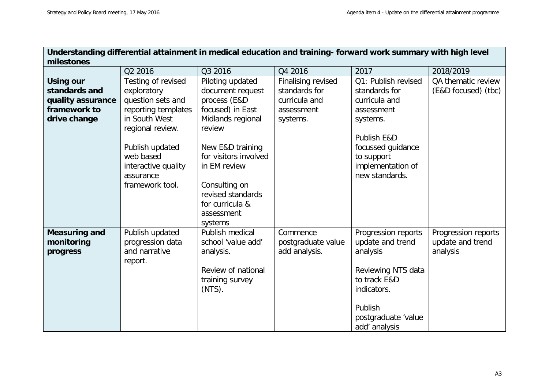| Understanding differential attainment in medical education and training- forward work summary with high level |                                   |                             |                           |                        |                     |  |  |  |
|---------------------------------------------------------------------------------------------------------------|-----------------------------------|-----------------------------|---------------------------|------------------------|---------------------|--|--|--|
| milestones                                                                                                    |                                   |                             |                           |                        |                     |  |  |  |
|                                                                                                               | Q2 2016                           | Q3 2016                     | Q4 2016                   | 2017                   | 2018/2019           |  |  |  |
| <b>Using our</b>                                                                                              | Testing of revised                | Piloting updated            | <b>Finalising revised</b> | Q1: Publish revised    | QA thematic review  |  |  |  |
| standards and                                                                                                 | exploratory                       | document request            | standards for             | standards for          | (E&D focused) (tbc) |  |  |  |
| quality assurance                                                                                             | question sets and                 | process (E&D                | curricula and             | curricula and          |                     |  |  |  |
| framework to                                                                                                  | reporting templates               | focused) in East            | assessment                | assessment             |                     |  |  |  |
| drive change                                                                                                  | in South West<br>regional review. | Midlands regional<br>review | systems.                  | systems.               |                     |  |  |  |
|                                                                                                               |                                   |                             |                           | <b>Publish E&amp;D</b> |                     |  |  |  |
|                                                                                                               | Publish updated                   | New E&D training            |                           | focussed guidance      |                     |  |  |  |
|                                                                                                               | web based                         | for visitors involved       |                           | to support             |                     |  |  |  |
|                                                                                                               | interactive quality               | in EM review                |                           | implementation of      |                     |  |  |  |
|                                                                                                               | assurance                         |                             |                           | new standards.         |                     |  |  |  |
|                                                                                                               | framework tool.                   | Consulting on               |                           |                        |                     |  |  |  |
|                                                                                                               |                                   | revised standards           |                           |                        |                     |  |  |  |
|                                                                                                               |                                   | for curricula &             |                           |                        |                     |  |  |  |
|                                                                                                               |                                   | assessment                  |                           |                        |                     |  |  |  |
|                                                                                                               |                                   | systems                     |                           |                        |                     |  |  |  |
| <b>Measuring and</b>                                                                                          | Publish updated                   | Publish medical             | Commence                  | Progression reports    | Progression reports |  |  |  |
| monitoring                                                                                                    | progression data                  | school 'value add'          | postgraduate value        | update and trend       | update and trend    |  |  |  |
| progress                                                                                                      | and narrative                     | analysis.                   | add analysis.             | analysis               | analysis            |  |  |  |
|                                                                                                               | report.                           |                             |                           |                        |                     |  |  |  |
|                                                                                                               |                                   | Review of national          |                           | Reviewing NTS data     |                     |  |  |  |
|                                                                                                               |                                   | training survey             |                           | to track E&D           |                     |  |  |  |
|                                                                                                               |                                   | $(NTS)$ .                   |                           | indicators.            |                     |  |  |  |
|                                                                                                               |                                   |                             |                           | Publish                |                     |  |  |  |
|                                                                                                               |                                   |                             |                           | postgraduate 'value    |                     |  |  |  |
|                                                                                                               |                                   |                             |                           | add' analysis          |                     |  |  |  |